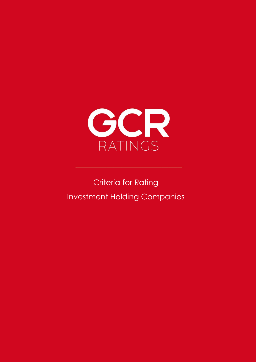

# **Criteria for Rating** Investment Holding Companies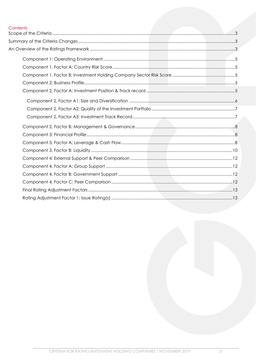# Contents<br>Scope of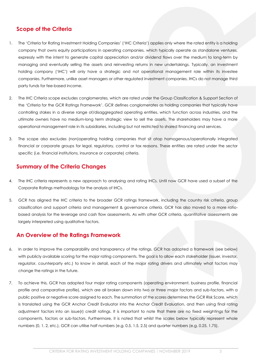### <span id="page-2-0"></span>**Scope of the Criteria**

- 1. The 'Criteria for Rating Investment Holding Companies' ('IHC Criteria') applies only where the rated entity is a holding company that owns equity participations in operating companies, which typically operate as standalone ventures, expressly with the intent to generate capital appreciation and/or dividend flows over the medium to long-term by managing and eventually selling the assets and reinvesting returns in new undertakings. Typically, an investment holding company ('IHC') will only have a strategic and not operational management role within its investee companies. Furthermore, unlike asset managers or other regulated investment companies, IHCs do not manage third party funds for fee-based income.
- 2. The IHC Criteria scope excludes conglomerates, which are rated under the Group Classification & Support Section of the 'Criteria for the GCR Ratings Framework'. GCR defines conglomerates as holding companies that typically have controlling stakes in a diverse range of/disaggregated operating entities, which function across industries, and the ultimate owners have no medium-long term strategic view to sell the assets. The shareholders may have a more operational management role in its subsidiaries, including but not restricted to shared financing and services.
- 3. The scope also excludes (non)operating holding companies that sit atop homogenous/operationally integrated financial or corporate groups for legal, regulatory, control or tax reasons. These entities are rated under the sector specific (i.e. financial institutions, insurance or corporate) criteria.

### <span id="page-2-1"></span>**Summary of the Criteria Changes**

- 4. The IHC criteria represents a new approach to analysing and rating IHCs. Until now GCR have used a subset of the Corporate Ratings methodology for the analysis of IHCs.
- 5. GCR has aligned the IHC criteria to the broader GCR ratings framework, including the country risk criteria, group classification and support criteria and management & governance criteria. GCR has also moved to a more ratiobased analysis for the leverage and cash flow assessments. As with other GCR criteria, quantitative assessments are largely interpreted using qualitative factors.

### <span id="page-2-2"></span>**An Overview of the Ratings Framework**

- 6. In order to improve the comparability and transparency of the ratings, GCR has adopted a framework (see below) with publicly available scoring for the major rating components. The goal is to allow each stakeholder (issuer, investor, regulator, counterparty etc.) to know in detail, each of the major rating drivers and ultimately what factors may change the ratings in the future.
- 7. To achieve this, GCR has adopted four major rating components (operating environment, business profile, financial profile and comparative profile), which are all broken down into two or three major factors and sub-factors, with a public positive or negative score assigned to each. The summation of the scores determines the GCR Risk Score, which is translated using the GCR Anchor Credit Evaluator into the Anchor Credit Evaluation, and then using final rating adjustment factors into an issue(r) credit ratings. It is important to note that there are no fixed weightings for the components, factors or sub-factors. Furthermore, it is noted that whilst the scales below typically represent whole numbers (0, 1, 2, etc.), GCR can utilise half numbers (e.g. 0.5, 1.5, 2.5) and quarter numbers (e.g. 0.25, 1.75).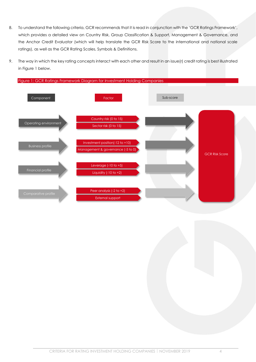- 8. To understand the following criteria, GCR recommends that it is read in conjunction with the 'GCR Ratings Framework', which provides a detailed view on Country Risk, Group Classification & Support, Management & Governance, and the Anchor Credit Evaluator (which will help translate the GCR Risk Score to the international and national scale ratings), as well as the GCR Rating Scales, Symbols & Definitions.
- 9. The way in which the key rating concepts interact with each other and result in an issue(r) credit rating is best illustrated in [Figure 1](#page-3-0) [below.](#page-3-0)

<span id="page-3-0"></span>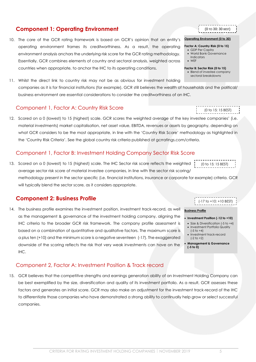### **Component 1: Operating Environment**

<span id="page-4-0"></span>10. The core of the GCR rating framework is based on GCR's opinion that an entity's operating environment frames its creditworthiness. As a result, the operating environment analysis anchors the underlying risk score for the GCR rating methodology. Essentially, GCR combines elements of country and sectoral analysis, weighted across countries when appropriate, to anchor the IHC to its operating conditions.

11. Whilst the direct link to country risk may not be as obvious for investment holding companies as it is for financial institutions (for example), GCR still believes the wealth of households and the political/ business environment are essential considerations to consider the creditworthiness of an IHC.

### <span id="page-4-1"></span>Component 1, Factor A: Country Risk Score

12. Scored on a 0 (lowest) to 15 (highest) scale. GCR scores the weighted average of the key investee companies' (i.e. material investments) market capitalisation, net asset value, EBITDA, revenues or assets by geography, depending on what GCR considers to be the most appropriate, in line with the 'Country Risk Score' methodology as highlighted in the 'Country Risk Criteria'. See the global country risk criteria published a[t gcrratings.com/criteria.](http://www.gcrratings.com/criteria)

### <span id="page-4-2"></span>Component 1, Factor B: Investment Holding Company Sector Risk Score

13. Scored on a 0 (lowest) to 15 (highest) scale. The IHC Sector risk score reflects the weighted average sector risk score of material investee companies, in line with the sector risk scoring/ methodology present in the sector specific (i.e. financial institutions, insurance or corporate for example) criteria. GCR (0 to 15: 15 BEST)

will typically blend the sector score, as it considers appropriate.

### <span id="page-4-3"></span>**Component 2: Business Profile**

14. The business profile examines the investment position, investment track-record, as well as the management & governance of the investment holding company, aligning the IHC criteria to the broader GCR risk framework. The company profile assessment is based on a combination of quantitative and qualitative factors. The maximum score is a plus ten (+10) and the minimum score is a negative seventeen (-17). The exaggerated downside of the scoring reflects the risk that very weak investments can have on the IHC.

### <span id="page-4-4"></span>Component 2, Factor A: Investment Position & Track record

15. GCR believes that the competitive strengths and earnings generation ability of an Investment Holding Company can be best exemplified by the size, diversification and quality of its investment portfolio. As a result, GCR assesses these factors and generates an initial score. GCR may also make an adjustment for the investment track-record of the IHC to differentiate those companies who have demonstrated a strong ability to continually help grow or select successful companies.

| .                  |  |
|--------------------|--|
|                    |  |
| (0 to 15: 15 BEST) |  |
| -----------        |  |
|                    |  |

(-17 to +10: +10 BEST)

### **Business Profile**

#### • **Investment Position (-12 to +10)**

- Size & Diversification (-5 to +4) • Investment Portfolio Quality  $(-5 \text{ to } +4)$
- Investment track-record (-2 to +2)
- **Management & Governance (-5 to 0)**

| (0 TO 30: 30 BEST) |  |
|--------------------|--|
|                    |  |

#### **Operating Environment (0 to 30)**

#### **Factor A: Country Risk (0 to 15)** • GDP Per Capita

- World Bank Governance **Indicators**
- WEF

**Factor B: Sector Risk (0 to 15)** • Blend of investee company sectoral breakdowns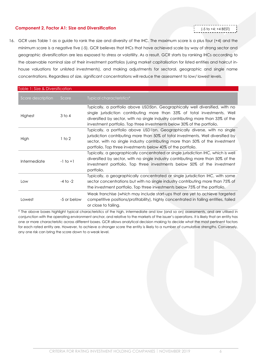### <span id="page-5-0"></span>**Component 2, Factor A1: Size and Diversification**

- (-5 to +4: +4 BEST)
- 16. GCR uses [Table 1](#page-5-1) as a guide to rank the size and diversity of the IHC. The maximum score is a plus four (+4) and the minimum score is a negative five (-5). GCR believes that IHCs that have achieved scale by way of strong sector and geographic diversification are less exposed to stress or volatility. As a result, GCR starts by ranking IHCs according to the observable nominal size of their investment portfolios (using market capitalisation for listed entities and haircut inhouse valuations for unlisted investments), and making adjustments for sectoral, geographic and single name concentrations. Regardless of size, significant concentrations will reduce the assessment to low/ lowest levels.

<span id="page-5-1"></span>

| Table 1: Size & Diversification |              |                                                                                                                                                                                                                                                                                                                           |
|---------------------------------|--------------|---------------------------------------------------------------------------------------------------------------------------------------------------------------------------------------------------------------------------------------------------------------------------------------------------------------------------|
| Score description               | Score        | Typical characteristics*                                                                                                                                                                                                                                                                                                  |
| Highest                         | $3$ to $4$   | Typically, a portfolio above USD5bn. Geographically well diversified, with no<br>single jurisdiction contributing more than 33% of total investments. Well<br>diversified by sector, with no single industry contributing more than 33% of the<br>investment portfolio. Top three investments below 30% of the portfolio. |
| High                            | 1 to 2       | Typically, a portfolio above USD1bn. Geographically diverse, with no single<br>jurisdiction contributing more than 50% of total investments. Well diversified by<br>sector, with no single industry contributing more than 50% of the investment<br>portfolio. Top three investments below 40% of the portfolio.          |
| Intermediate                    | $-1$ to $+1$ | Typically, a geographically concentrated or single jurisdiction IHC, which is well<br>diversified by sector, with no single industry contributing more than 50% of the<br>investment portfolio. Top three investments below 50% of the investment<br>portfolio.                                                           |
| Low                             | $-4$ to $-2$ | Typically, a geographically concentrated or single jurisdiction IHC, with some<br>sector concentrations but with no single industry contributing more than 75% of<br>the investment portfolio. Top three investments below 75% of the portfolio.                                                                          |
| Lowest                          | -5 or below  | Weak franchise (which may include start-ups that are yet to achieve targeted<br>competitive positions/profitability), highly concentrated in failing entities, failed<br>or close to failing.                                                                                                                             |

\* The above boxes highlight typical characteristics of the high, intermediate and low (and so on) assessments, and are utilised in conjunction with the operating environment anchor, and relative to the markets of the issuer's operations. It is likely that an entity has one or more characteristic across different boxes. GCR allows analytical decision making to decide what the most pertinent factors for each rated entity are. However, to achieve a stronger score the entity is likely to a number of cumulative strengths. Conversely, any one risk can bring the score down to a weak level.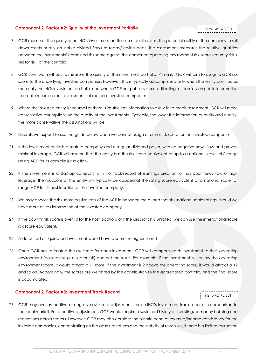### <span id="page-6-0"></span>**Component 2, Factor A2: Quality of the Investment Portfolio**

## (-5 to +4: +4 BEST)

- 17. GCR measures the quality of an IHC's investment portfolio in order to assess the potential ability of the company to sell down assets or rely on stable divided flows to repay/service debt. The assessment measures the relative qualities between the investments' combined risk score against the combined operating environment risk score (country risk + sector risk) of the portfolio.
- 18. GCR uses two methods to measure the quality of the investment portfolio. Primarily, GCR will aim to assign a GCR risk score to the underlying investee companies. However, this is typically accomplished only when the entity contributes materially the IHCs investment portfolio, and where GCR has public issuer credit ratings or can rely on public information to create reliable credit assessments of material investee companies.
- 19. Where the investee entity is too small or there is insufficient information to allow for a credit assessment, GCR will make conservative assumptions on the quality of the investments. Typically, the lower the information quantity and quality, the more conservative the assumptions will be.
- 20. Overall, we expect to use the guide below when we cannot assign a formal risk score for the investee companies:
- 21. If the investment entity is a mature company and a regular dividend payer, with no negative news flow and proven minimal leverage, GCR will assume that the entity has the risk score equivalent of up to a national scale 'bb' range rating ACE for its domicile jurisdiction.
- 22. If the investment is a start-up company with no track-record of earnings creation, or has poor news flow or high leverage, the risk score of the entity will typically be capped at the rating score equivalent of a national scale 'b' range ACE for its host location of the investee company.
- 23. We may choose the risk score equivalents of the ACE in between the b- and the bb+ national scale ratings, should we have more or less information of the investee company.
- 24. If the country risk score is over 10 for the host location, or if the jurisdiction is unrated, we can use the international scale risk score equivalent.
- 25. A defaulted or liquidated investment would have a score no higher than 1.
- 26. Once GCR has estimated the risk score for each investment, GCR will compare each investment to their operating environment (country risk plus sector risk) and net the result. For example, if the investment is 1 below the operating environment score, it would attract a -1 score. If the investment is 2 above the operating score, it would attract a +2 and so on. Accordingly, the scores are weighted by the contribution to the aggregated portfolio, and the final score is accumulated.

### <span id="page-6-1"></span>**Component 2, Factor A3: Investment Track Record**

## (-2 to +2: +2 BEST)

27. GCR may overlay positive or negative risk score adjustments for an IHC's investment track-record, in comparison to the local market. For a positive adjustment, GCR would require a sustained history of investing/company building and realisations across sectors. However, GCR may also consider the historic trend of revenue/income consistency for the investee companies, concentrating on the absolute returns and the stability of revenues, if there is a limited realisation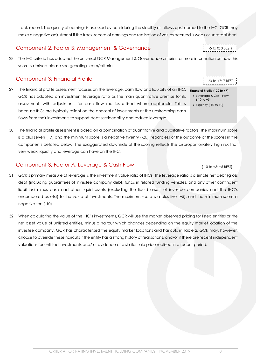CRITERIA FOR RATING INVESTMENT HOLDING COMPANIES | NOVEMBER 2019 8

track-record. The quality of earnings is assessed by considering the stability of inflows upstreamed to the IHC. GCR may make a negative adjustment if the track-record of earnings and realisation of values accrued is weak or unestablished.

### <span id="page-7-0"></span>Component 2, Factor B: Management & Governance

28. The IHC criteria has adopted the universal GCR Management & Governance criteria, for more information on how this score is derived please see [gcrratings.com/criteria.](http://www.gcrratings.com/criteria)

### <span id="page-7-1"></span>Component 3: Financial Profile

- 29. The financial profile assessment focuses on the leverage, cash flow and liquidity of an IHC. GCR has adopted an investment leverage ratio as the main quantitative premise for its assessment, with adjustments for cash flow metrics utilised where applicable. This is because IHCs are typically reliant on the disposal of investments or the upstreaming cash flows from their investments to support debt serviceability and reduce leverage.
- 30. The financial profile assessment is based on a combination of quantitative and qualitative factors. The maximum score is a plus seven (+7) and the minimum score is a negative twenty (-20), regardless of the outcome of the scores in the components detailed below. The exaggerated downside of the scoring reflects the disproportionately high risk that very weak liquidity and leverage can have on the IHC.

### <span id="page-7-2"></span>Component 3, Factor A: Leverage & Cash Flow

- 31. GCR's primary measure of leverage is the investment value ratio of IHCs. The leverage ratio is a simple net debt (gross debt (including guarantees of investee company debt, funds in related funding vehicles, and any other contingent liabilities) minus cash and other liquid assets (excluding the liquid assets of investee companies and the IHC's encumbered assets)) to the value of investments. The maximum score is a plus five (+5), and the minimum score a negative ten (-10).
- 32. When calculating the value of the IHC's investments, GCR will use the market observed pricing for listed entities or the net asset value of unlisted entities, minus a haircut which changes depending on the equity market location of the investee company. GCR has characterised the equity market locations and haircuts in [Table 2.](#page-8-0) GCR may, however, choose to override these haircuts if the entity has a strong history of realisations, and/or if there are recent independent valuations for unlisted investments and/ or evidence of a similar sale price realised in a recent period.

-20 to +7: 7 BEST

(-5 to 0: 0 BEST)

**Financial Profile (-20 to +7)**

- Leverage & Cash Flow  $(-10 \text{ to } +5)$
- Liquidity (-10 to +2)

(-10 to +5: +5 BEST)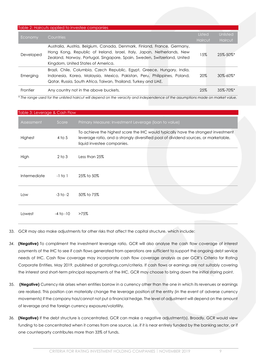<span id="page-8-0"></span>

|           | Table 2: Haircuts applied to investee companies                                                                                                                                                                                                                     |                          |                            |
|-----------|---------------------------------------------------------------------------------------------------------------------------------------------------------------------------------------------------------------------------------------------------------------------|--------------------------|----------------------------|
| Economy   | Countries                                                                                                                                                                                                                                                           | Listed<br><b>Haircut</b> | Unlisted<br>Haircut        |
| Developed | Australia, Austria, Belgium, Canada, Denmark, Finland, France, Germany,<br>Hong Kong, Republic of Ireland, Israel, Italy, Japan, Netherlands, New<br>Zealand, Norway, Portugal, Singapore, Spain, Sweden, Switzerland, United<br>Kingdom, United States of America. | 15%                      | $25\% - 50\%$ <sup>*</sup> |
| Emerging  | Brazil, Chile, Columbia, Czech Republic, Egypt, Greece, Hungary, India,<br>Indonesia, Korea, Malaysia, Mexico, Pakistan, Peru, Philippines, Poland,<br>Qatar, Russia, South Africa, Taiwan, Thailand, Turkey and UAE.                                               | 20%                      | $30\% - 60\%$ <sup>*</sup> |
| Frontier  | Any country not in the above buckets.                                                                                                                                                                                                                               | 25%                      | $35\% - 70\%$ <sup>*</sup> |

*\* The range used for the unlisted haircut will depend on the veracity and independence of the assumptions made on market value.*

| Table 3: Leverage & Cash Flow |               |                                                                                                                                                                                                         |  |
|-------------------------------|---------------|---------------------------------------------------------------------------------------------------------------------------------------------------------------------------------------------------------|--|
| Assessment                    | Score         | Primary Measure: Investment Leverage (Ioan to value)                                                                                                                                                    |  |
| Highest                       | $4$ to 5      | To achieve the highest score the IHC would typically have the strongest investment<br>leverage ratio, and a strongly diversified pool of dividend sources, or marketable,<br>liquid investee companies. |  |
| High                          | $2$ to $3$    | Less than 25%                                                                                                                                                                                           |  |
| Intermediate                  | $-1$ to $1$   | 25% to 50%                                                                                                                                                                                              |  |
| Low                           | $-3$ to $-2$  | 50% to 75%                                                                                                                                                                                              |  |
| Lowest                        | $-4$ to $-10$ | $>75\%$                                                                                                                                                                                                 |  |

33. GCR may also make adjustments for other risks that affect the capital structure, which include:

- *34.* **(Negative)** To compliment the investment leverage ratio, GCR will also analyse the cash flow coverage of interest payments of the IHC to see if cash flows generated from operations are sufficient to support the ongoing debt service needs of IHC. Cash flow coverage may incorporate cash flow coverage analysis as per GCR's Criteria for Rating Corporate Entities, May 2019, published at [gcrratings.com/criteria.](http://www.gcrratings.com/criteria) If cash flows or earnings are not suitably covering the interest and short-term principal repayments of the IHC, GCR may choose to bring down the initial staring point.
- 35. **(Negative)** Currency risk arises when entities borrow in a currency other than the one in which its revenues or earnings are realised. This position can materially change the leverage position of the entity (in the event of adverse currency movements) if the company has/cannot not put a financial hedge. The level of adjustment will depend on the amount of leverage and the foreign currency exposure/volatility.
- *36.* **(Negative)** If the debt structure is concentrated, GCR can make a negative adjustment(s). Broadly, GCR would view funding to be concentrated when it comes from one source, i.e. if it is near entirely funded by the banking sector, or if one counterparty contributes more than 33% of funds.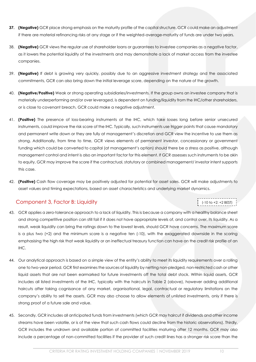- **37. (Negative)** GCR place strong emphasis on the maturity profile of the capital structure. GCR could make an adjustment if there are material refinancing risks at any stage or if the weighted-average-maturity of funds are under two years.
- 38. **(Negative)** GCR views the regular use of shareholder loans or guarantees to investee companies as a negative factor, as it lowers the potential liquidity of the investments and may demonstrate a lack of market access from the investee companies.
- 39. **(Negative)** If debt is growing very quickly, possibly due to an aggressive investment strategy and the associated commitments, GCR can also bring down the initial leverage score, depending on the nature of the growth.
- 40. **(Negative/Positive)** Weak or strong operating subsidiaries/investments. If the group owns an investee company that is materially underperforming and/or over leveraged, is dependent on funding/liquidity from the IHC/other shareholders, or is close to covenant breach, GCR could make a negative adjustment.
- 41. **(Positive)** The presence of loss-bearing instruments at the IHC, which take losses long before senior unsecured instruments, could improve the risk score of the IHC. Typically, such instruments use trigger points that cause mandatory and permanent write down or they are fully at management's discretion and GCR view the incentive to use them as strong. Additionally, from time to time, GCR views elements of permanent investor, concessionary or government funding which could be converted to capital (at management's option) should there be a stress as positive, although management control and intent is also an important factor for this element. If GCR assesses such instruments to be akin to equity, GCR may improve the score if the contractual, statutory or combined management/ investor intent supports this case.
- 42. **(Positive)** Cash flow coverage may be positively adjusted for potential for asset sales. GCR will make adjustments to asset values and timing expectations, based on asset characteristics and underlying market dynamics.

### <span id="page-9-0"></span>Component 3, Factor B: Liquidity

# (-10 to +2: +2 BEST)

- 43. GCR applies a zero-tolerance approach to a lack of liquidity. This is because a company with a healthy balance sheet and strong competitive position can still fail if it does not have appropriate levels of, and control over, its liquidity. As a result, weak liquidity can bring the ratings down to the lowest levels, should GCR have concerns. The maximum score is a plus two (+2) and the minimum score is a negative ten (-10), with the exaggerated downside in the scoring emphasising the high risk that weak liquidity or an ineffectual treasury function can have on the credit risk profile of an IHC.
- 44. Our analytical approach is based on a simple view of the entity's ability to meet its liquidity requirements over a rolling one to two-year period. GCR first examines the sources of liquidity by netting non-pledged, non-restricted cash or other liquid assets that are not been earmarked for future investments off the total debt stock. Within liquid assets, GCR includes all listed investments of the IHC, typically with the haircuts in [Table 2](#page-8-0) [\(above\)](#page-8-0), however adding additional haircuts after taking cognisance of any market, organisational, legal, contractual or regulatory limitations on the company's ability to sell the assets. GCR may also choose to allow elements of unlisted investments, only if there is strong proof of a future sale and value.
- 45. Secondly, GCR includes all anticipated funds from investments (which GCR may haircut if dividends and other income streams have been volatile, or is of the view that such cash flows could decline from the historic observations). Thirdly, GCR includes the undrawn and available portion of committed facilities maturing after 12 months. GCR may also include a percentage of non-committed facilities if the provider of such credit lines has a stronger risk score than the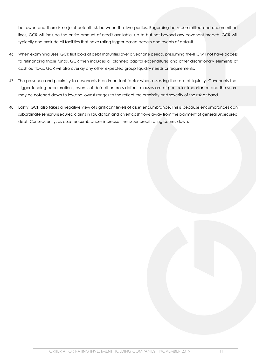borrower, and there is no joint default risk between the two parties. Regarding both committed and uncommitted lines, GCR will include the entire amount of credit available, up to but not beyond any covenant breach. GCR will typically also exclude all facilities that have rating trigger-based access and events of default.

- 46. When examining uses, GCR first looks at debt maturities over a year one period, presuming the-IHC will not have access to refinancing those funds. GCR then includes all planned capital expenditures and other discretionary elements of cash outflows. GCR will also overlay any other expected group liquidity needs or requirements.
- 47. The presence and proximity to covenants is an important factor when assessing the uses of liquidity. Covenants that trigger funding accelerations, events of default or cross default clauses are of particular importance and the score may be notched down to low/the lowest ranges to the reflect the proximity and severity of the risk at hand.
- 48. Lastly, GCR also takes a negative view of significant levels of asset encumbrance. This is because encumbrances can subordinate senior unsecured claims in liquidation and divert cash flows away from the payment of general unsecured debt. Consequently, as asset encumbrances increase, the issuer credit rating comes down.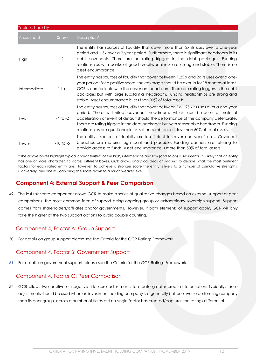| Table 4: Liquidity |                |                                                                                                                                                                                                                                                                                                                                                                                                                                             |
|--------------------|----------------|---------------------------------------------------------------------------------------------------------------------------------------------------------------------------------------------------------------------------------------------------------------------------------------------------------------------------------------------------------------------------------------------------------------------------------------------|
| Assessment         | Score          | Description*                                                                                                                                                                                                                                                                                                                                                                                                                                |
| High               | $\overline{2}$ | The entity has sources of liquidity that cover more than 2x its uses over a one-year<br>period and 1.5x over a 2-year period. Furthermore, there is significant headroom in its<br>debt covenants. There are no rating triggers in the debt packages. Funding<br>relationships with banks of good creditworthiness are strong and stable. There is no<br>asset encumbrance.                                                                 |
| Intermediate       | $-1$ to $1$    | The entity has sources of liquidity that cover between 1.25 x and 2x its uses over a one-<br>year period. For a positive score, the coverage should be over 1x for 18 months at least.<br>GCR is comfortable with the covenant headroom. There are rating triggers in the debt<br>packages but with large substantial headroom. Funding relationships are strong and<br>stable. Asset encumbrance is less than 30% of total assets.         |
| Low                | $-4$ to $-2$   | The entity has sources of liquidity that cover between 1x-1.25 x its uses over a one-year<br>period. There is limited covenant headroom, which could cause a material<br>acceleration or event of default should the performance of the company deteriorate.<br>There are rating triggers in the debt packages but with reasonable headroom. Funding<br>relationships are questionable. Asset encumbrance is less than 50% of total assets. |
| Lowest             | $-10$ to $-5$  | The entity's sources of liquidity are insufficient to cover one years' uses. Covenant<br>breaches are material, significant and plausible. Funding partners are refusing to<br>provide access to funds. Asset encumbrance is more than 50% of total assets.                                                                                                                                                                                 |

\* The above boxes highlight typical characteristics of the high, intermediate and low (and so on) assessments. It is likely that an entity has one or more characteristic across different boxes. GCR allows analytical decision making to decide what the most pertinent factors for each rated entity are. However, to achieve a stronger score the entity is likely to a number of cumulative strengths. Conversely, any one risk can bring the score down to a much weaker level.

### <span id="page-11-0"></span>**Component 4: External Support & Peer Comparison**

49. The last risk score component allows GCR to make a series of qualitative changes based on external support or peer comparisons. The most common form of support being ongoing group or extraordinary sovereign support. Support comes from shareholders/affiliates and/or governments. However, if both elements of support apply, GCR will only take the higher of the two support options to avoid double counting.

### <span id="page-11-1"></span>Component 4, Factor A: Group Support

50. For details on group support please see the Criteria for the GCR Ratings Framework.

### <span id="page-11-2"></span>Component 4, Factor B: Government Support

51. For details on government support, please see the Criteria for the GCR Ratings Framework.

### <span id="page-11-3"></span>Component 4, Factor C: Peer Comparison

52. GCR allows two positive or negative risk score adjustments to create greater credit differentiation. Typically, these adjustments should be used when an investment holding company is a generally better or worse performing company than its peer group, across a number of fields but no single factor has created/captures the ratings differential.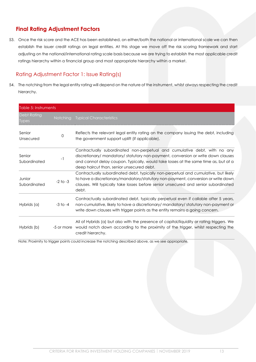### <span id="page-12-0"></span>**Final Rating Adjustment Factors**

53. Once the risk score and the ACE has been established, on either/both the national or international scale we can then establish the issuer credit ratings on legal entities. At this stage we move off the risk scoring framework and start adjusting on the national/international rating scale basis because we are trying to establish the most applicable credit ratings hierarchy within a financial group and most appropriate hierarchy within a market.

### <span id="page-12-1"></span>Rating Adjustment Factor 1: Issue Rating(s)

54. The notching from the legal entity rating will depend on the nature of the instrument, whilst always respecting the credit hierarchy.

| Table 5: Instruments               |                 |                                                                                                                                                                                                                                                                                                    |
|------------------------------------|-----------------|----------------------------------------------------------------------------------------------------------------------------------------------------------------------------------------------------------------------------------------------------------------------------------------------------|
| <b>Debt Rating</b><br><b>Types</b> | <b>Notching</b> | <b>Typical Characteristics</b>                                                                                                                                                                                                                                                                     |
| Senior<br>Unsecured                | 0               | Reflects the relevant legal entity rating on the company issuing the debt, including<br>the government support uplift (if applicable).                                                                                                                                                             |
| Senior<br>Subordinated             | $-1$            | Contractually subordinated non-perpetual and cumulative debt, with no any<br>discretionary/ mandatory/ statutory non-payment, conversion or write down clauses<br>and cannot delay coupon. Typically, would take losses at the same time as, but at a<br>deep haircut than, senior unsecured debt. |
| Junior<br>Subordinated             | $-2$ to $-3$    | Contractually subordinated debt, typically non-perpetual and cumulative, but likely<br>to have a discretionary/mandatory/statutory non-payment, conversion or write down<br>clauses. Will typically take losses before senior unsecured and senior subordinated<br>debt.                           |
| Hybrids (a)                        | $-3$ to $-4$    | Contractually subordinated debt, typically perpetual even if callable after 5 years,<br>non-cumulative, likely to have a discretionary/mandatory/statutory non-payment or<br>write down clauses with trigger points as the entity remains a going concern.                                         |
| Hybrids (b)                        |                 | All of Hybrids (a) but also with the presence of capital/liquidity or rating triggers. We<br>-5 or more would notch down according to the proximity of the trigger, whilst respecting the<br>credit hierarchy.                                                                                     |

Note; Proximity to trigger points could increase the notching described above, as we see appropriate.